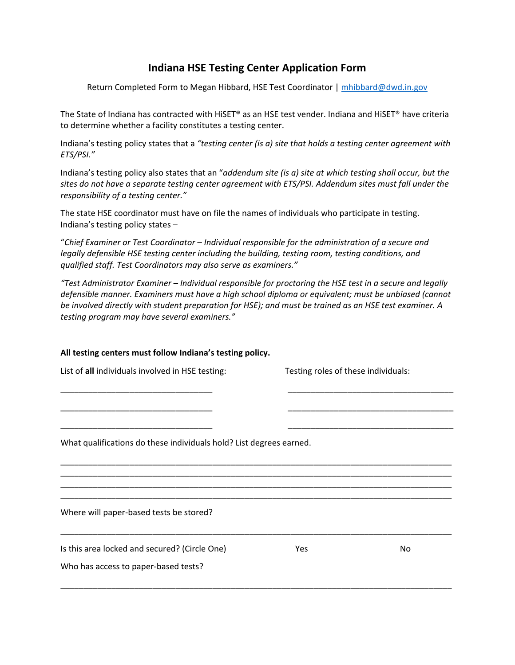## **Indiana HSE Testing Center Application Form**

Return Completed Form to Megan Hibbard, HSE Test Coordinator | [mhibbard@dwd.in.gov](mailto:mhibbard@dwd.in.gov)

The State of Indiana has contracted with HiSET® as an HSE test vender. Indiana and HiSET® have criteria to determine whether a facility constitutes a testing center.

Indiana's testing policy states that a *"testing center (is a) site that holds a testing center agreement with ETS/PSI."*

Indiana's testing policy also states that an "*addendum site (is a) site at which testing shall occur, but the sites do not have a separate testing center agreement with ETS/PSI. Addendum sites must fall under the responsibility of a testing center."* 

The state HSE coordinator must have on file the names of individuals who participate in testing. Indiana's testing policy states –

"*Chief Examiner or Test Coordinator – Individual responsible for the administration of a secure and legally defensible HSE testing center including the building, testing room, testing conditions, and qualified staff. Test Coordinators may also serve as examiners."* 

*"Test Administrator Examiner – Individual responsible for proctoring the HSE test in a secure and legally defensible manner. Examiners must have a high school diploma or equivalent; must be unbiased (cannot be involved directly with student preparation for HSE); and must be trained as an HSE test examiner. A testing program may have several examiners."* 

## **All testing centers must follow Indiana's testing policy.**  List of **all** individuals involved in HSE testing: Testing roles of these individuals: \_\_\_\_\_\_\_\_\_\_\_\_\_\_\_\_\_\_\_\_\_\_\_\_\_\_\_\_\_\_\_\_\_ \_\_\_\_\_\_\_\_\_\_\_\_\_\_\_\_\_\_\_\_\_\_\_\_\_\_\_\_\_\_\_\_\_\_\_\_ \_\_\_\_\_\_\_\_\_\_\_\_\_\_\_\_\_\_\_\_\_\_\_\_\_\_\_\_\_\_\_\_\_ \_\_\_\_\_\_\_\_\_\_\_\_\_\_\_\_\_\_\_\_\_\_\_\_\_\_\_\_\_\_\_\_\_\_\_\_ \_\_\_\_\_\_\_\_\_\_\_\_\_\_\_\_\_\_\_\_\_\_\_\_\_\_\_\_\_\_\_\_\_ \_\_\_\_\_\_\_\_\_\_\_\_\_\_\_\_\_\_\_\_\_\_\_\_\_\_\_\_\_\_\_\_\_\_\_\_ What qualifications do these individuals hold? List degrees earned. \_\_\_\_\_\_\_\_\_\_\_\_\_\_\_\_\_\_\_\_\_\_\_\_\_\_\_\_\_\_\_\_\_\_\_\_\_\_\_\_\_\_\_\_\_\_\_\_\_\_\_\_\_\_\_\_\_\_\_\_\_\_\_\_\_\_\_\_\_\_\_\_\_\_\_\_\_\_\_\_\_\_\_\_\_ \_\_\_\_\_\_\_\_\_\_\_\_\_\_\_\_\_\_\_\_\_\_\_\_\_\_\_\_\_\_\_\_\_\_\_\_\_\_\_\_\_\_\_\_\_\_\_\_\_\_\_\_\_\_\_\_\_\_\_\_\_\_\_\_\_\_\_\_\_\_\_\_\_\_\_\_\_\_\_\_\_\_\_\_\_ \_\_\_\_\_\_\_\_\_\_\_\_\_\_\_\_\_\_\_\_\_\_\_\_\_\_\_\_\_\_\_\_\_\_\_\_\_\_\_\_\_\_\_\_\_\_\_\_\_\_\_\_\_\_\_\_\_\_\_\_\_\_\_\_\_\_\_\_\_\_\_\_\_\_\_\_\_\_\_\_\_\_\_\_\_ \_\_\_\_\_\_\_\_\_\_\_\_\_\_\_\_\_\_\_\_\_\_\_\_\_\_\_\_\_\_\_\_\_\_\_\_\_\_\_\_\_\_\_\_\_\_\_\_\_\_\_\_\_\_\_\_\_\_\_\_\_\_\_\_\_\_\_\_\_\_\_\_\_\_\_\_\_\_\_\_\_\_\_\_\_ Where will paper-based tests be stored? \_\_\_\_\_\_\_\_\_\_\_\_\_\_\_\_\_\_\_\_\_\_\_\_\_\_\_\_\_\_\_\_\_\_\_\_\_\_\_\_\_\_\_\_\_\_\_\_\_\_\_\_\_\_\_\_\_\_\_\_\_\_\_\_\_\_\_\_\_\_\_\_\_\_\_\_\_\_\_\_\_\_\_\_\_ Is this area locked and secured? (Circle One) The More Yes No Who has access to paper-based tests? \_\_\_\_\_\_\_\_\_\_\_\_\_\_\_\_\_\_\_\_\_\_\_\_\_\_\_\_\_\_\_\_\_\_\_\_\_\_\_\_\_\_\_\_\_\_\_\_\_\_\_\_\_\_\_\_\_\_\_\_\_\_\_\_\_\_\_\_\_\_\_\_\_\_\_\_\_\_\_\_\_\_\_\_\_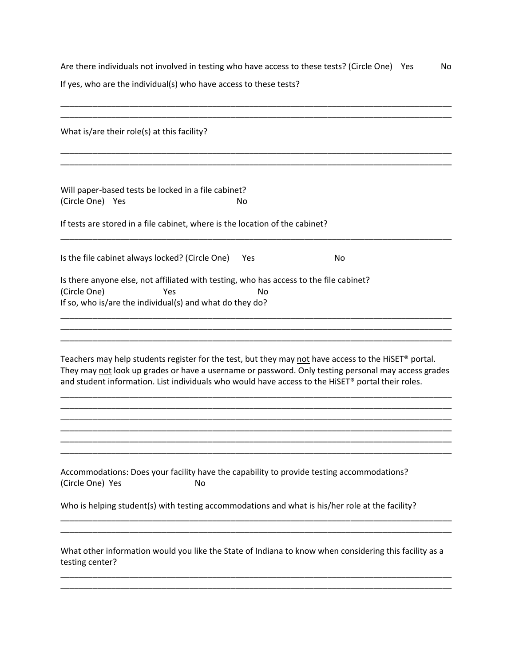Are there individuals not involved in testing who have access to these tests? (Circle One) Yes No

If yes, who are the individual(s) who have access to these tests?

| What is/are their role(s) at this facility?                                                                                                                                                                                                                                                                      |
|------------------------------------------------------------------------------------------------------------------------------------------------------------------------------------------------------------------------------------------------------------------------------------------------------------------|
|                                                                                                                                                                                                                                                                                                                  |
| Will paper-based tests be locked in a file cabinet?<br>(Circle One) Yes<br>No                                                                                                                                                                                                                                    |
| If tests are stored in a file cabinet, where is the location of the cabinet?                                                                                                                                                                                                                                     |
| Is the file cabinet always locked? (Circle One)<br>No<br>Yes                                                                                                                                                                                                                                                     |
| Is there anyone else, not affiliated with testing, who has access to the file cabinet?<br>(Circle One)<br>Yes<br>No<br>If so, who is/are the individual(s) and what do they do?                                                                                                                                  |
|                                                                                                                                                                                                                                                                                                                  |
| Teachers may help students register for the test, but they may not have access to the HiSET® portal.<br>They may not look up grades or have a username or password. Only testing personal may access grades<br>and student information. List individuals who would have access to the HiSET® portal their roles. |
|                                                                                                                                                                                                                                                                                                                  |
|                                                                                                                                                                                                                                                                                                                  |
|                                                                                                                                                                                                                                                                                                                  |
| Accommodations: Does your facility have the capability to provide testing accommodations?<br>(Circle One) Yes<br>No                                                                                                                                                                                              |

Who is helping student(s) with testing accommodations and what is his/her role at the facility?

What other information would you like the State of Indiana to know when considering this facility as a testing center?

\_\_\_\_\_\_\_\_\_\_\_\_\_\_\_\_\_\_\_\_\_\_\_\_\_\_\_\_\_\_\_\_\_\_\_\_\_\_\_\_\_\_\_\_\_\_\_\_\_\_\_\_\_\_\_\_\_\_\_\_\_\_\_\_\_\_\_\_\_\_\_\_\_\_\_\_\_\_\_\_\_\_\_\_\_ \_\_\_\_\_\_\_\_\_\_\_\_\_\_\_\_\_\_\_\_\_\_\_\_\_\_\_\_\_\_\_\_\_\_\_\_\_\_\_\_\_\_\_\_\_\_\_\_\_\_\_\_\_\_\_\_\_\_\_\_\_\_\_\_\_\_\_\_\_\_\_\_\_\_\_\_\_\_\_\_\_\_\_\_\_

\_\_\_\_\_\_\_\_\_\_\_\_\_\_\_\_\_\_\_\_\_\_\_\_\_\_\_\_\_\_\_\_\_\_\_\_\_\_\_\_\_\_\_\_\_\_\_\_\_\_\_\_\_\_\_\_\_\_\_\_\_\_\_\_\_\_\_\_\_\_\_\_\_\_\_\_\_\_\_\_\_\_\_\_\_ \_\_\_\_\_\_\_\_\_\_\_\_\_\_\_\_\_\_\_\_\_\_\_\_\_\_\_\_\_\_\_\_\_\_\_\_\_\_\_\_\_\_\_\_\_\_\_\_\_\_\_\_\_\_\_\_\_\_\_\_\_\_\_\_\_\_\_\_\_\_\_\_\_\_\_\_\_\_\_\_\_\_\_\_\_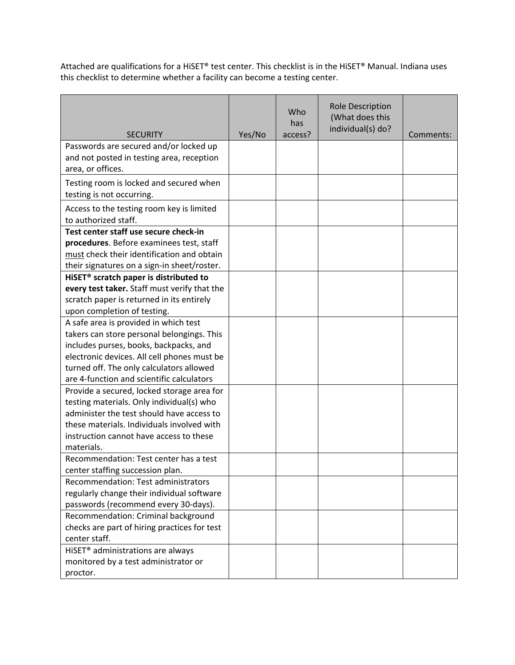Attached are qualifications for a HiSET® test center. This checklist is in the HiSET® Manual. Indiana uses this checklist to determine whether a facility can become a testing center.

| <b>SECURITY</b>                                                                                                                                                                                                                                                       | Yes/No | Who<br>has<br>access? | Role Description<br>(What does this<br>individual(s) do? | Comments: |
|-----------------------------------------------------------------------------------------------------------------------------------------------------------------------------------------------------------------------------------------------------------------------|--------|-----------------------|----------------------------------------------------------|-----------|
| Passwords are secured and/or locked up<br>and not posted in testing area, reception<br>area, or offices.                                                                                                                                                              |        |                       |                                                          |           |
| Testing room is locked and secured when<br>testing is not occurring.                                                                                                                                                                                                  |        |                       |                                                          |           |
| Access to the testing room key is limited<br>to authorized staff.                                                                                                                                                                                                     |        |                       |                                                          |           |
| Test center staff use secure check-in<br>procedures. Before examinees test, staff<br>must check their identification and obtain<br>their signatures on a sign-in sheet/roster.                                                                                        |        |                       |                                                          |           |
| HISET <sup>®</sup> scratch paper is distributed to<br>every test taker. Staff must verify that the<br>scratch paper is returned in its entirely<br>upon completion of testing.                                                                                        |        |                       |                                                          |           |
| A safe area is provided in which test<br>takers can store personal belongings. This<br>includes purses, books, backpacks, and<br>electronic devices. All cell phones must be<br>turned off. The only calculators allowed<br>are 4-function and scientific calculators |        |                       |                                                          |           |
| Provide a secured, locked storage area for<br>testing materials. Only individual(s) who<br>administer the test should have access to<br>these materials. Individuals involved with<br>instruction cannot have access to these<br>materials.                           |        |                       |                                                          |           |
| Recommendation: Test center has a test<br>center staffing succession plan.                                                                                                                                                                                            |        |                       |                                                          |           |
| Recommendation: Test administrators<br>regularly change their individual software<br>passwords (recommend every 30-days).                                                                                                                                             |        |                       |                                                          |           |
| Recommendation: Criminal background<br>checks are part of hiring practices for test<br>center staff.                                                                                                                                                                  |        |                       |                                                          |           |
| HISET <sup>®</sup> administrations are always<br>monitored by a test administrator or<br>proctor.                                                                                                                                                                     |        |                       |                                                          |           |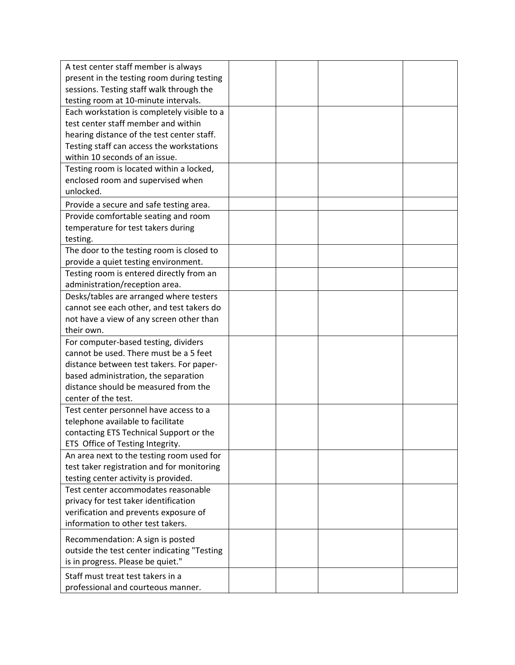| A test center staff member is always        |  |  |
|---------------------------------------------|--|--|
| present in the testing room during testing  |  |  |
| sessions. Testing staff walk through the    |  |  |
| testing room at 10-minute intervals.        |  |  |
| Each workstation is completely visible to a |  |  |
| test center staff member and within         |  |  |
| hearing distance of the test center staff.  |  |  |
| Testing staff can access the workstations   |  |  |
| within 10 seconds of an issue.              |  |  |
| Testing room is located within a locked,    |  |  |
| enclosed room and supervised when           |  |  |
| unlocked.                                   |  |  |
| Provide a secure and safe testing area.     |  |  |
| Provide comfortable seating and room        |  |  |
| temperature for test takers during          |  |  |
| testing.                                    |  |  |
| The door to the testing room is closed to   |  |  |
| provide a quiet testing environment.        |  |  |
| Testing room is entered directly from an    |  |  |
| administration/reception area.              |  |  |
| Desks/tables are arranged where testers     |  |  |
| cannot see each other, and test takers do   |  |  |
| not have a view of any screen other than    |  |  |
| their own.                                  |  |  |
| For computer-based testing, dividers        |  |  |
| cannot be used. There must be a 5 feet      |  |  |
| distance between test takers. For paper-    |  |  |
| based administration, the separation        |  |  |
| distance should be measured from the        |  |  |
| center of the test.                         |  |  |
| Test center personnel have access to a      |  |  |
| telephone available to facilitate           |  |  |
| contacting ETS Technical Support or the     |  |  |
| ETS Office of Testing Integrity.            |  |  |
| An area next to the testing room used for   |  |  |
| test taker registration and for monitoring  |  |  |
| testing center activity is provided.        |  |  |
| Test center accommodates reasonable         |  |  |
| privacy for test taker identification       |  |  |
| verification and prevents exposure of       |  |  |
| information to other test takers.           |  |  |
| Recommendation: A sign is posted            |  |  |
| outside the test center indicating "Testing |  |  |
| is in progress. Please be quiet."           |  |  |
| Staff must treat test takers in a           |  |  |
| professional and courteous manner.          |  |  |